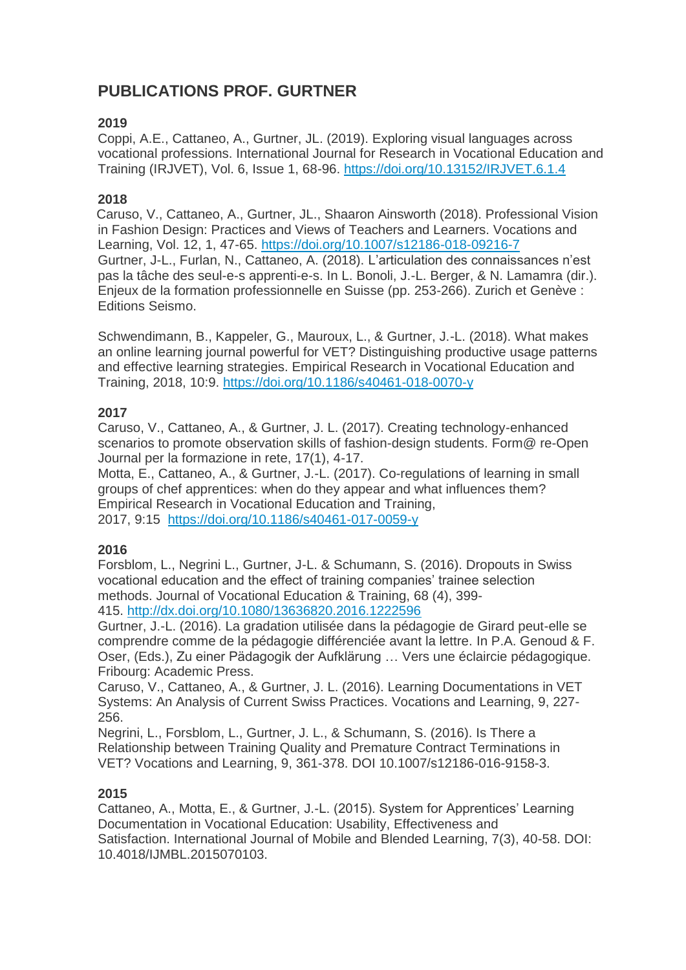# **PUBLICATIONS PROF. GURTNER**

## **2019**

Coppi, A.E., Cattaneo, A., Gurtner, JL. (2019). Exploring visual languages across vocational professions. International Journal for Research in Vocational Education and Training (IRJVET), Vol. 6, Issue 1, 68-96. [https://doi.org/10.13152/IRJVET.6.1.4](https://doi.org/10.1007/s12186-018-09216-7)

### **2018**

 Caruso, V., Cattaneo, A., Gurtner, JL., Shaaron Ainsworth (2018). Professional Vision in Fashion Design: Practices and Views of Teachers and Learners. Vocations and Learning, Vol. 12, 1, 47-65. <https://doi.org/10.1007/s12186-018-09216-7> Gurtner, J-L., Furlan, N., Cattaneo, A. (2018). L'articulation des connaissances n'est pas la tâche des seul-e-s apprenti-e-s. In L. Bonoli, J.-L. Berger, & N. Lamamra (dir.). Enjeux de la formation professionnelle en Suisse (pp. 253-266). Zurich et Genève : Editions Seismo.

Schwendimann, B., Kappeler, G., Mauroux, L., & Gurtner, J.-L. (2018). What makes an online learning journal powerful for VET? Distinguishing productive usage patterns and effective learning strategies. Empirical Research in Vocational Education and Training, 2018, 10:9. <https://doi.org/10.1186/s40461-018-0070-y>

## **2017**

Caruso, V., Cattaneo, A., & Gurtner, J. L. (2017). Creating technology-enhanced scenarios to promote observation skills of fashion-design students. Form@ re-Open Journal per la formazione in rete, 17(1), 4-17.

Motta, E., Cattaneo, A., & Gurtner, J.-L. (2017). Co-regulations of learning in small groups of chef apprentices: when do they appear and what influences them? Empirical Research in Vocational Education and Training, 2017, 9:15 <https://doi.org/10.1186/s40461-017-0059-y>

### **2016**

Forsblom, L., Negrini L., Gurtner, J-L. & Schumann, S. (2016). Dropouts in Swiss vocational education and the effect of training companies' trainee selection methods. Journal of Vocational Education & Training, 68 (4), 399- 415. <http://dx.doi.org/10.1080/13636820.2016.1222596>

Gurtner, J.-L. (2016). La gradation utilisée dans la pédagogie de Girard peut-elle se comprendre comme de la pédagogie différenciée avant la lettre. In P.A. Genoud & F. Oser, (Eds.), Zu einer Pädagogik der Aufklärung … Vers une éclaircie pédagogique. Fribourg: Academic Press.

Caruso, V., Cattaneo, A., & Gurtner, J. L. (2016). Learning Documentations in VET Systems: An Analysis of Current Swiss Practices. Vocations and Learning, 9, 227- 256.

Negrini, L., Forsblom, L., Gurtner, J. L., & Schumann, S. (2016). Is There a Relationship between Training Quality and Premature Contract Terminations in VET? Vocations and Learning, 9, 361-378. DOI 10.1007/s12186-016-9158-3.

### **2015**

Cattaneo, A., Motta, E., & Gurtner, J.-L. (2015). System for Apprentices' Learning Documentation in Vocational Education: Usability, Effectiveness and Satisfaction. International Journal of Mobile and Blended Learning, 7(3), 40-58. DOI: 10.4018/IJMBL.2015070103.